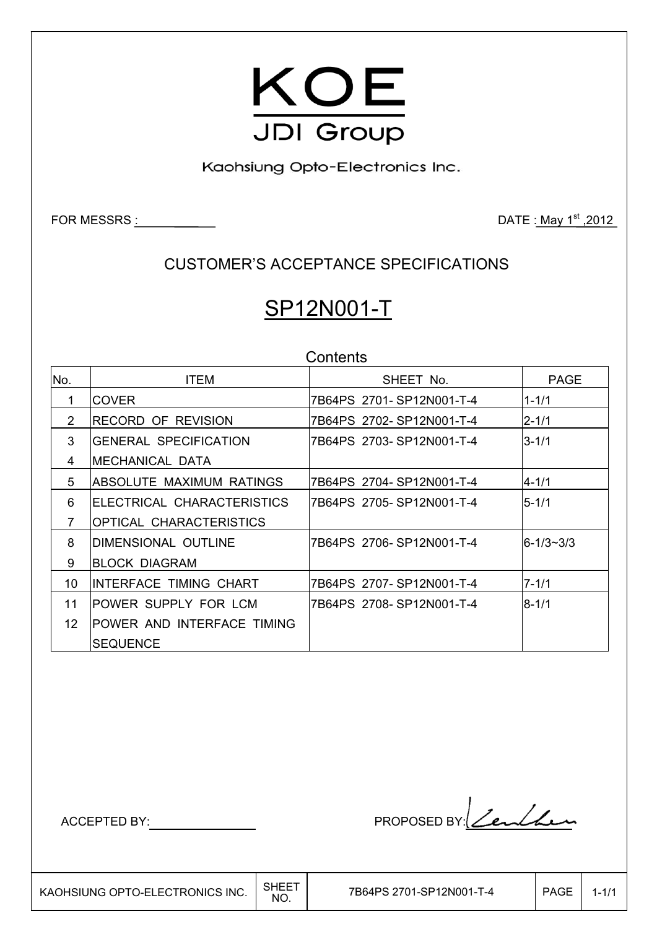

Kaohsiung Opto-Electronics Inc.

FOR MESSRS  $\frac{1}{2012}$ 

CUSTOMER'S ACCEPTANCE SPECIFICATIONS

# SP12N001-T

|                | Contents                        |                           |           |  |  |  |  |
|----------------|---------------------------------|---------------------------|-----------|--|--|--|--|
| No.            | <b>ITEM</b>                     | SHEET No.                 | PAGE      |  |  |  |  |
| 1              | <b>COVER</b>                    | 7B64PS 2701-SP12N001-T-4  | $1 - 1/1$ |  |  |  |  |
| 2              | <b>RECORD OF REVISION</b>       | 7B64PS 2702-SP12N001-T-4  | $2 - 1/1$ |  |  |  |  |
| 3              | <b>IGENERAL SPECIFICATION</b>   | 7B64PS 2703-SP12N001-T-4  | $3 - 1/1$ |  |  |  |  |
| 4              | IMECHANICAL DATA                |                           |           |  |  |  |  |
| 5              | <b>ABSOLUTE MAXIMUM RATINGS</b> | 7B64PS 2704-SP12N001-T-4  | $4 - 1/1$ |  |  |  |  |
| 6              | IELECTRICAL CHARACTERISTICS     | 7B64PS 2705-SP12N001-T-4  | $5 - 1/1$ |  |  |  |  |
| $\overline{7}$ | <b>OPTICAL CHARACTERISTICS</b>  |                           |           |  |  |  |  |
| 8              | IDIMENSIONAL OUTLINE            | 7B64PS_2706-SP12N001-T-4_ | 6-1/3~3/3 |  |  |  |  |
| 9              | <b>BLOCK DIAGRAM</b>            |                           |           |  |  |  |  |
| 10             | IINTERFACE TIMING CHART         | 7B64PS 2707-SP12N001-T-4  | $7 - 1/1$ |  |  |  |  |
| 11             | IPOWER SUPPLY FOR LCM           | 7B64PS 2708-SP12N001-T-4  | $8 - 1/1$ |  |  |  |  |
| 12             | POWER AND INTERFACE TIMING      |                           |           |  |  |  |  |
|                | <b>SEQUENCE</b>                 |                           |           |  |  |  |  |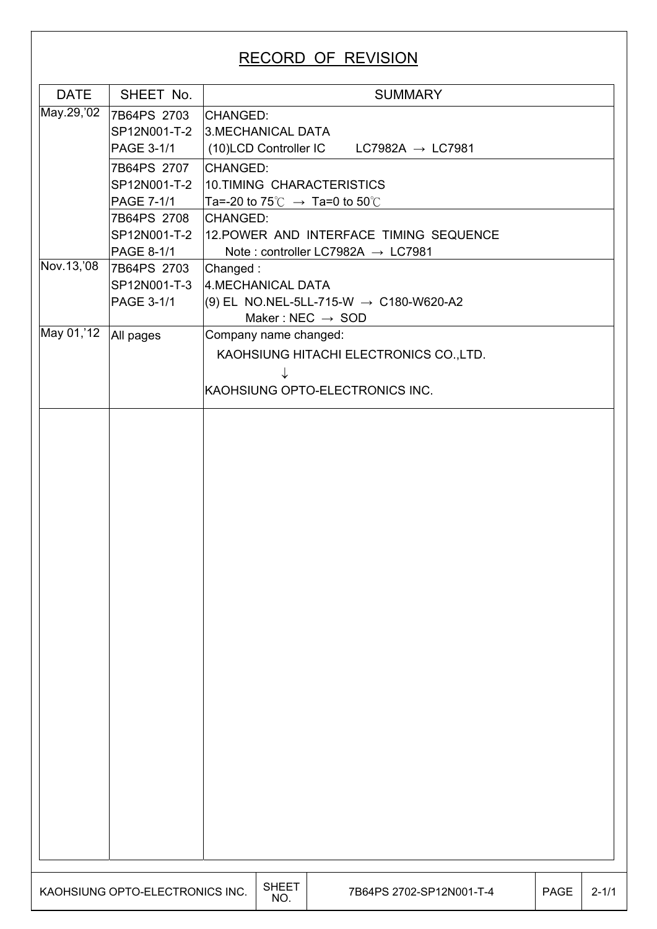# RECORD OF REVISION

| <b>DATE</b>                             | SHEET No.                                | <b>SUMMARY</b>                                        |             |           |  |  |  |  |
|-----------------------------------------|------------------------------------------|-------------------------------------------------------|-------------|-----------|--|--|--|--|
| May.29, '02                             | 7B64PS 2703                              | CHANGED:                                              |             |           |  |  |  |  |
|                                         | SP12N001-T-2                             | 3. MECHANICAL DATA                                    |             |           |  |  |  |  |
|                                         | PAGE 3-1/1                               | (10)LCD Controller IC<br>$LC7982A \rightarrow LC7981$ |             |           |  |  |  |  |
|                                         |                                          |                                                       |             |           |  |  |  |  |
|                                         | 7B64PS 2707<br>SP12N001-T-2              | CHANGED:<br>10.TIMING CHARACTERISTICS                 |             |           |  |  |  |  |
|                                         | PAGE 7-1/1                               | Ta=-20 to 75°C $\rightarrow$ Ta=0 to 50°C             |             |           |  |  |  |  |
|                                         | 7B64PS 2708                              | CHANGED:                                              |             |           |  |  |  |  |
|                                         | SP12N001-T-2                             | 12. POWER AND INTERFACE TIMING SEQUENCE               |             |           |  |  |  |  |
|                                         | PAGE 8-1/1                               | Note: controller LC7982A $\rightarrow$ LC7981         |             |           |  |  |  |  |
| Nov.13,'08                              | 7B64PS 2703                              | Changed:                                              |             |           |  |  |  |  |
|                                         | SP12N001-T-3                             | 4.MECHANICAL DATA                                     |             |           |  |  |  |  |
|                                         | $(9)$ EL NO.NEL-5LL-715-W → C180-W620-A2 |                                                       |             |           |  |  |  |  |
|                                         | PAGE 3-1/1                               | Maker: NEC $\rightarrow$ SOD                          |             |           |  |  |  |  |
| May 01, 12                              | All pages                                | Company name changed:                                 |             |           |  |  |  |  |
|                                         |                                          |                                                       |             |           |  |  |  |  |
| KAOHSIUNG HITACHI ELECTRONICS CO., LTD. |                                          |                                                       |             |           |  |  |  |  |
|                                         |                                          |                                                       |             |           |  |  |  |  |
|                                         |                                          | KAOHSIUNG OPTO-ELECTRONICS INC.                       |             |           |  |  |  |  |
|                                         |                                          |                                                       |             |           |  |  |  |  |
|                                         |                                          |                                                       |             |           |  |  |  |  |
|                                         |                                          |                                                       |             |           |  |  |  |  |
|                                         |                                          |                                                       |             |           |  |  |  |  |
|                                         |                                          |                                                       |             |           |  |  |  |  |
|                                         |                                          |                                                       |             |           |  |  |  |  |
|                                         |                                          |                                                       |             |           |  |  |  |  |
|                                         |                                          |                                                       |             |           |  |  |  |  |
|                                         |                                          |                                                       |             |           |  |  |  |  |
|                                         |                                          |                                                       |             |           |  |  |  |  |
|                                         |                                          |                                                       |             |           |  |  |  |  |
|                                         |                                          |                                                       |             |           |  |  |  |  |
|                                         |                                          |                                                       |             |           |  |  |  |  |
|                                         |                                          |                                                       |             |           |  |  |  |  |
|                                         |                                          |                                                       |             |           |  |  |  |  |
|                                         |                                          |                                                       |             |           |  |  |  |  |
|                                         |                                          |                                                       |             |           |  |  |  |  |
|                                         |                                          |                                                       |             |           |  |  |  |  |
|                                         |                                          |                                                       |             |           |  |  |  |  |
|                                         |                                          |                                                       |             |           |  |  |  |  |
|                                         |                                          |                                                       |             |           |  |  |  |  |
|                                         |                                          |                                                       |             |           |  |  |  |  |
|                                         |                                          |                                                       |             |           |  |  |  |  |
|                                         |                                          |                                                       |             |           |  |  |  |  |
|                                         |                                          |                                                       |             |           |  |  |  |  |
|                                         |                                          |                                                       |             |           |  |  |  |  |
|                                         |                                          |                                                       |             |           |  |  |  |  |
|                                         |                                          |                                                       |             |           |  |  |  |  |
|                                         | KAOHSIUNG OPTO-ELECTRONICS INC.          | <b>SHEET</b><br>7B64PS 2702-SP12N001-T-4<br>NO.       | <b>PAGE</b> | $2 - 1/1$ |  |  |  |  |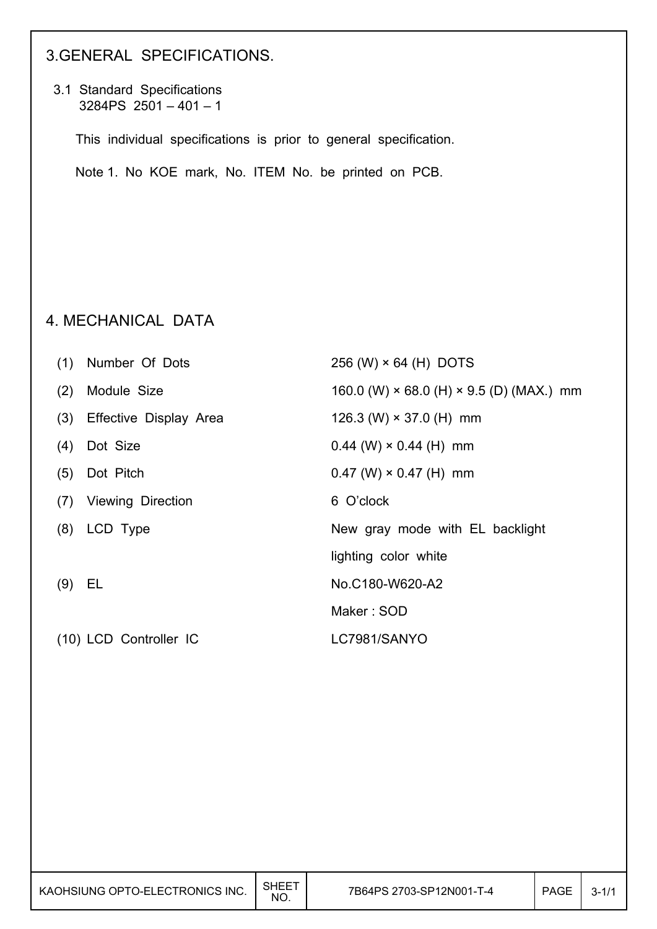### 3.GENERAL SPECIFICATIONS.

 3.1 Standard Specifications  $3284PS$  2501 – 401 – 1

This individual specifications is prior to general specification.

Note 1. No KOE mark, No. ITEM No. be printed on PCB.

#### 4. MECHANICAL DATA

| (1) | Number Of Dots         | 256 (W) × 64 (H) DOTS                                  |
|-----|------------------------|--------------------------------------------------------|
| (2) | Module Size            | 160.0 (W) $\times$ 68.0 (H) $\times$ 9.5 (D) (MAX.) mm |
| (3) | Effective Display Area | 126.3 (W) $\times$ 37.0 (H) mm                         |
| (4) | Dot Size               | $0.44$ (W) $\times$ 0.44 (H) mm                        |
| (5) | Dot Pitch              | $0.47$ (W) $\times$ 0.47 (H) mm                        |
|     | (7) Viewing Direction  | 6 O'clock                                              |
|     | $(8)$ LCD Type         | New gray mode with EL backlight                        |
|     |                        | lighting color white                                   |
| (9) | EL                     | No.C180-W620-A2                                        |
|     |                        | Maker: SOD                                             |
|     | (10) LCD Controller IC | LC7981/SANYO                                           |

| 7B64PS 2703-SP12N001-T-4<br><b>PAGE</b><br>KAOHSIUNG OPTO-ELECTRONICS INC.<br>NO. |  | SHEET |  |  | $3 - 1/1$ |
|-----------------------------------------------------------------------------------|--|-------|--|--|-----------|
|-----------------------------------------------------------------------------------|--|-------|--|--|-----------|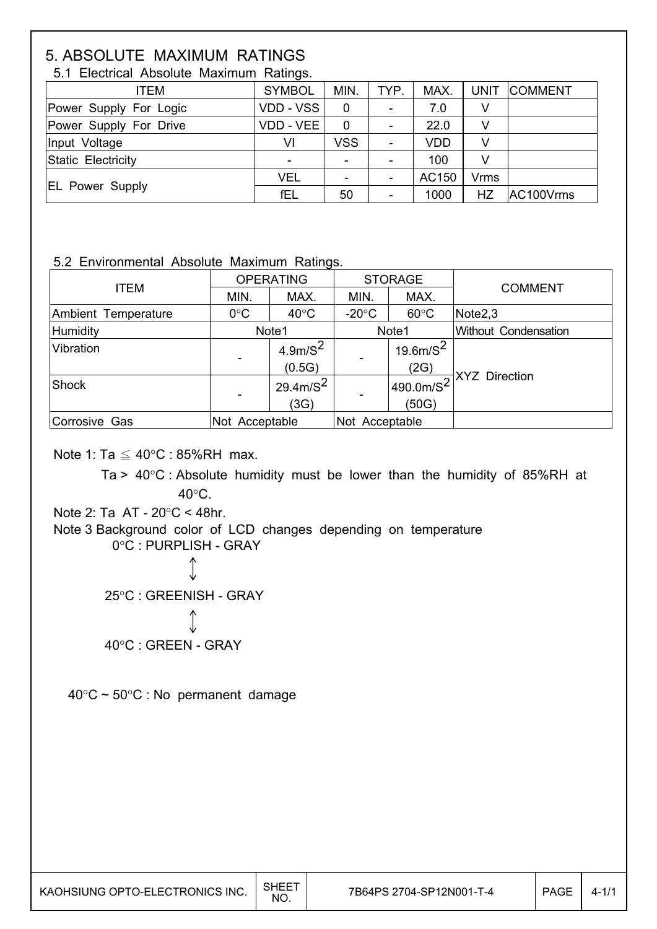# 5. ABSOLUTE MAXIMUM RATINGS

| $5.1$ $\equiv$ $0.00$ ; $0.00$ ; $\equiv$ $0.000$ ; $0.000$ ; $0.000$ ; $0.000$ ; $0.000$ ; $0.000$ ; $0.000$ ; $0.000$ ; $0.000$ ; $0.000$ ; $0.000$ ; $0.000$ ; $0.000$ ; $0.000$ ; $0.000$ ; $0.000$ ; $0.000$ ; $0.000$ ; $0.000$ ; $0.000$ ; $0.000$ ; |               |                          |                |            |             |              |  |  |
|-------------------------------------------------------------------------------------------------------------------------------------------------------------------------------------------------------------------------------------------------------------|---------------|--------------------------|----------------|------------|-------------|--------------|--|--|
| ITEM                                                                                                                                                                                                                                                        | <b>SYMBOL</b> | MIN.                     | TYP.           | MAX.       |             | UNIT COMMENT |  |  |
| Power Supply For Logic                                                                                                                                                                                                                                      | VDD - VSS     | 0                        |                | 7.0        | V           |              |  |  |
| Power Supply For Drive                                                                                                                                                                                                                                      | VDD - VEE     | 0                        |                | 22.0       | V           |              |  |  |
| Input Voltage                                                                                                                                                                                                                                               | VI            | <b>VSS</b>               | $\blacksquare$ | <b>VDD</b> | v           |              |  |  |
| Static Electricity                                                                                                                                                                                                                                          |               | $\overline{\phantom{0}}$ |                | 100        | V           |              |  |  |
|                                                                                                                                                                                                                                                             | <b>VEL</b>    |                          |                | AC150      | <b>Vrms</b> |              |  |  |
| <b>EL Power Supply</b>                                                                                                                                                                                                                                      | fEL           | 50                       |                | 1000       | HZ          | AC100Vrms    |  |  |

5.1 Electrical Absolute Maximum Ratings.

#### 5.2 Environmental Absolute Maximum Ratings.

|                     | <b>OPERATING</b> |                     |                 | <b>STORAGE</b> | <b>COMMENT</b>          |  |
|---------------------|------------------|---------------------|-----------------|----------------|-------------------------|--|
| <b>ITEM</b>         | MIN.             | MAX.                | MIN.            | MAX.           |                         |  |
| Ambient Temperature | $0^{\circ}$ C    | $40^{\circ}$ C      | $-20^{\circ}$ C | $60^{\circ}$ C | Note <sub>2,3</sub>     |  |
| Humidity            | Note1            |                     | Note1           |                | Without Condensation    |  |
| Vibration           |                  | 4.9m/S <sup>2</sup> |                 | $19.6m/S^2$    |                         |  |
|                     |                  | (0.5G)              |                 | (2G)           |                         |  |
| Shock               |                  | $29.4 \text{m/s}^2$ |                 | 490.0m/ $S^2$  | <u> 국</u> XYZ Direction |  |
|                     |                  | (3G)                |                 | (50G)          |                         |  |
| Corrosive Gas       | Not Acceptable   |                     | Not Acceptable  |                |                         |  |

Note 1: Ta  $\leq 40^{\circ}$ C : 85%RH max.

Ta >  $40^{\circ}$ C : Absolute humidity must be lower than the humidity of 85%RH at  $40^{\circ}$ C.

Note 2: Ta  $AT - 20^{\circ}C < 48$ hr.

 $\overline{\phantom{a}}$ 

 $\overline{\phantom{a}}$ 

 Note 3 Background color of LCD changes depending on temperature 0°C : PURPLISH - GRAY

> 25°C : GREENISH - GRAY 40°C : GREEN - GRAY

 $40^{\circ}$ C ~ 50°C : No permanent damage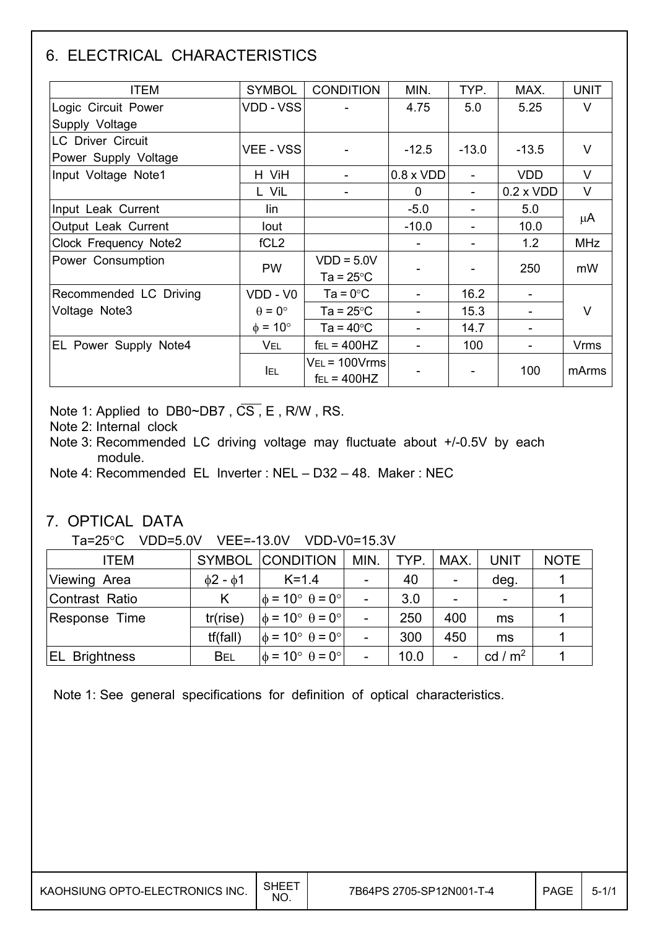# 6. ELECTRICAL CHARACTERISTICS

| <b>ITEM</b>              | <b>SYMBOL</b>        | <b>CONDITION</b>       | MIN.             | TYP.    | MAX.             | <b>UNIT</b> |
|--------------------------|----------------------|------------------------|------------------|---------|------------------|-------------|
| Logic Circuit Power      | <b>VDD - VSS</b>     |                        | 4.75             | 5.0     | 5.25             | V           |
| Supply Voltage           |                      |                        |                  |         |                  |             |
| <b>LC Driver Circuit</b> |                      |                        |                  |         |                  | V           |
| Power Supply Voltage     | <b>VEE - VSS</b>     |                        | $-12.5$          | $-13.0$ | $-13.5$          |             |
| Input Voltage Note1      | H ViH                |                        | $0.8 \times VDD$ |         | <b>VDD</b>       | $\vee$      |
|                          | L ViL                |                        | 0                |         | $0.2 \times VDD$ | V           |
| Input Leak Current       | lin                  |                        | $-5.0$           |         | 5.0              |             |
| Output Leak Current      | lout                 |                        | $-10.0$          |         | 10.0             | μA          |
| Clock Frequency Note2    | fCL <sub>2</sub>     |                        |                  |         | 1.2              | <b>MHz</b>  |
| Power Consumption        | <b>PW</b>            | $VDD = 5.0V$           |                  |         | 250              |             |
|                          |                      | Ta = $25^{\circ}$ C    |                  |         |                  | mW          |
| Recommended LC Driving   | VDD - V0             | $Ta = 0^{\circ}C$      |                  | 16.2    |                  |             |
| Voltage Note3            | $\theta = 0^{\circ}$ | Ta = $25^{\circ}$ C    |                  | 15.3    |                  | V           |
|                          | $\phi = 10^{\circ}$  | Ta = $40^{\circ}$ C    |                  | 14.7    |                  |             |
| EL Power Supply Note4    | <b>VEL</b>           | $f_{EL} = 400$ HZ      |                  | 100     |                  | <b>Vrms</b> |
|                          |                      | $V_{EL}$ = 100 $V$ rms |                  |         |                  |             |
|                          | <b>IEL</b>           | $f_{EL} = 400$ HZ      |                  |         | 100              | mArms       |

Note 1: Applied to DB0~DB7,  $\overline{CS}$ , E, R/W, RS.

Note 2: Internal clock

 Note 3: Recommended LC driving voltage may fluctuate about +/-0.5V by each module.

Note 4: Recommended EL Inverter : NEL – D32 – 48. Maker : NEC

#### 7. OPTICAL DATA

Ta=25°C VDD=5.0V VEE=-13.0V VDD-V0=15.3V

| <b>ITEM</b>           |                     | <b>SYMBOL CONDITION</b>                  | MIN. | TYP. | MAX. | <b>UNIT</b>              | <b>NOTE</b> |
|-----------------------|---------------------|------------------------------------------|------|------|------|--------------------------|-------------|
| Viewing Area          | $\phi$ 2 - $\phi$ 1 | $K = 1.4$                                |      | 40   |      | deg.                     |             |
| Contrast Ratio        | Κ                   | $\phi = 10^{\circ} \theta = 0^{\circ}$   |      | 3.0  |      | $\overline{\phantom{0}}$ |             |
| Response Time         | tr(rise)            | $\phi = 10^{\circ} \theta = 0^{\circ}$   |      | 250  | 400  | ms                       |             |
|                       | tf(fall)            | $\phi = 10^{\circ}$ $\theta = 0^{\circ}$ |      | 300  | 450  | ms                       |             |
| <b>IEL Brightness</b> | <b>BEL</b>          | $\phi = 10^{\circ} \theta = 0^{\circ}$   |      | 10.0 |      | cd / $m2$                |             |

Note 1: See general specifications for definition of optical characteristics.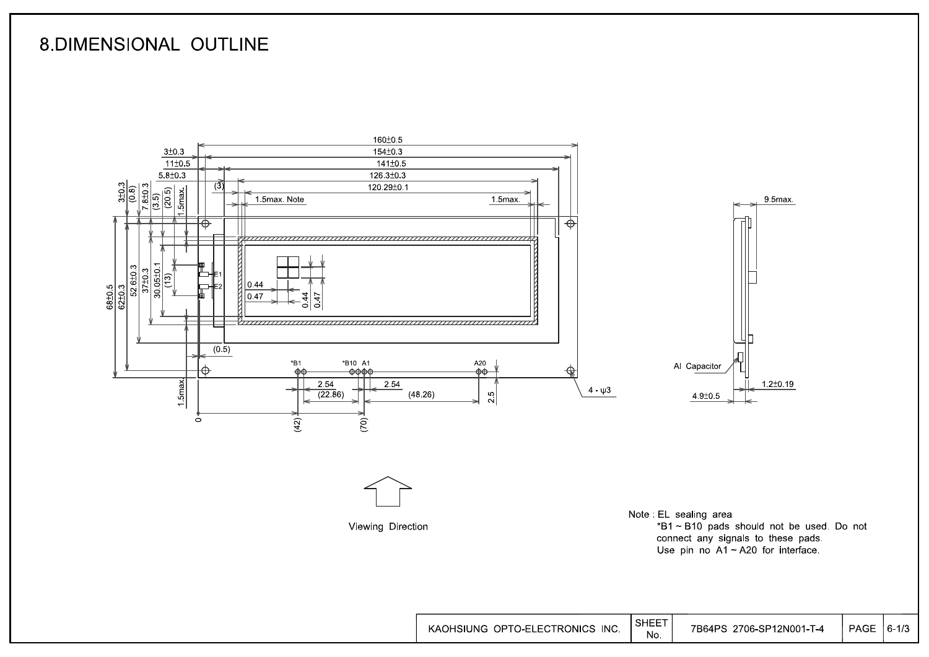## **8.DIMENSIONAL OUTLINE**



 $|6 - 1/3|$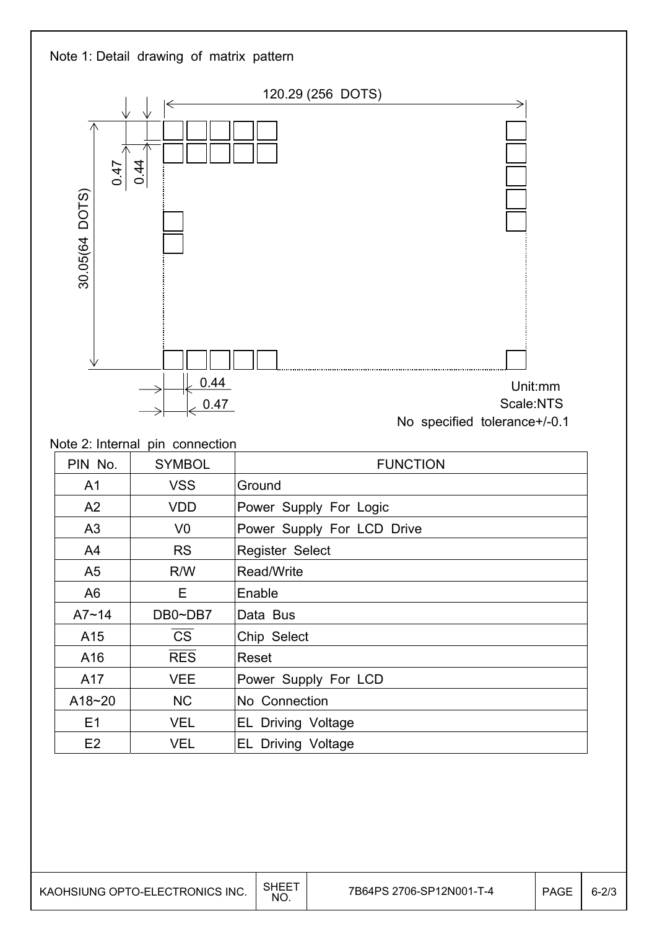

| PIN No.        | <b>SYMBOL</b>  | <b>FUNCTION</b>                 |
|----------------|----------------|---------------------------------|
| A1             | <b>VSS</b>     | Ground                          |
| A2             | <b>VDD</b>     | Power Supply For Logic          |
| A3             | V <sub>0</sub> | Power Supply For LCD Drive      |
| A4             | <b>RS</b>      | <b>Register Select</b>          |
| A <sub>5</sub> | R/W            | Read/Write                      |
| A <sub>6</sub> | E.             | Enable                          |
| $A7 - 14$      | DB0~DB7        | Data Bus                        |
| A15            | <b>CS</b>      | Chip Select                     |
| A16            | <b>RES</b>     | Reset                           |
| A17            | VEE            | Power Supply For LCD            |
| $A18 - 20$     | <b>NC</b>      | No Connection                   |
| E1             | <b>VEL</b>     | <b>EL Driving Voltage</b>       |
| E2             | <b>VEL</b>     | <b>EL Driving Voltage</b>       |
|                |                | Note 2: Internal pin connection |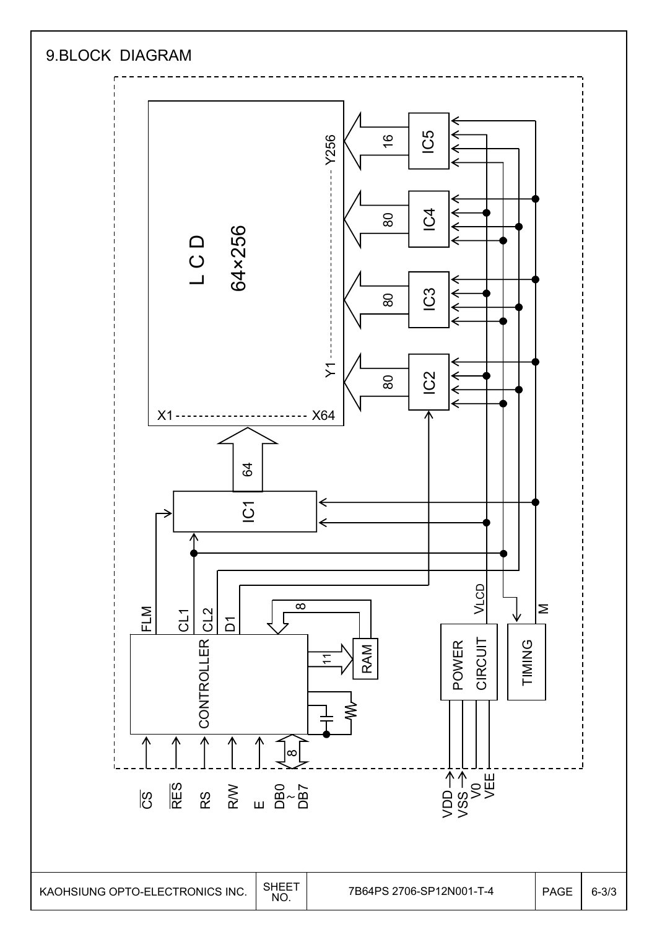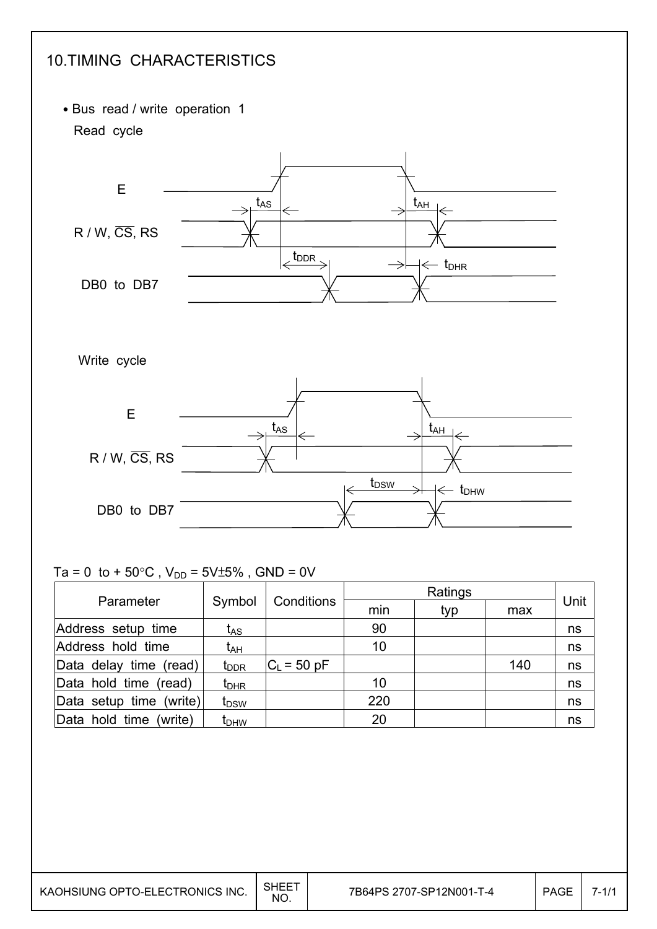

#### Ta = 0 to + 50 $^{\circ}$ C, V<sub>DD</sub> = 5V $\pm$ 5%, GND = 0V

|                         |                  | Conditions    |     |     |     |      |
|-------------------------|------------------|---------------|-----|-----|-----|------|
| Parameter               | Symbol           |               | min | typ | max | Unit |
| Address setup time      | t <sub>AS</sub>  |               | 90  |     |     | ns   |
| Address hold time       | t <sub>АН</sub>  |               | 10  |     |     | ns   |
| Data delay time (read)  | t <sub>DDR</sub> | $C_L$ = 50 pF |     |     | 140 | ns   |
| Data hold time (read)   | $t_{\sf DHR}$    |               | 10  |     |     | ns   |
| Data setup time (write) | t <sub>DSW</sub> |               | 220 |     |     | ns   |
| Data hold time (write)  | t <sub>DHW</sub> |               | 20  |     |     | ns   |

I